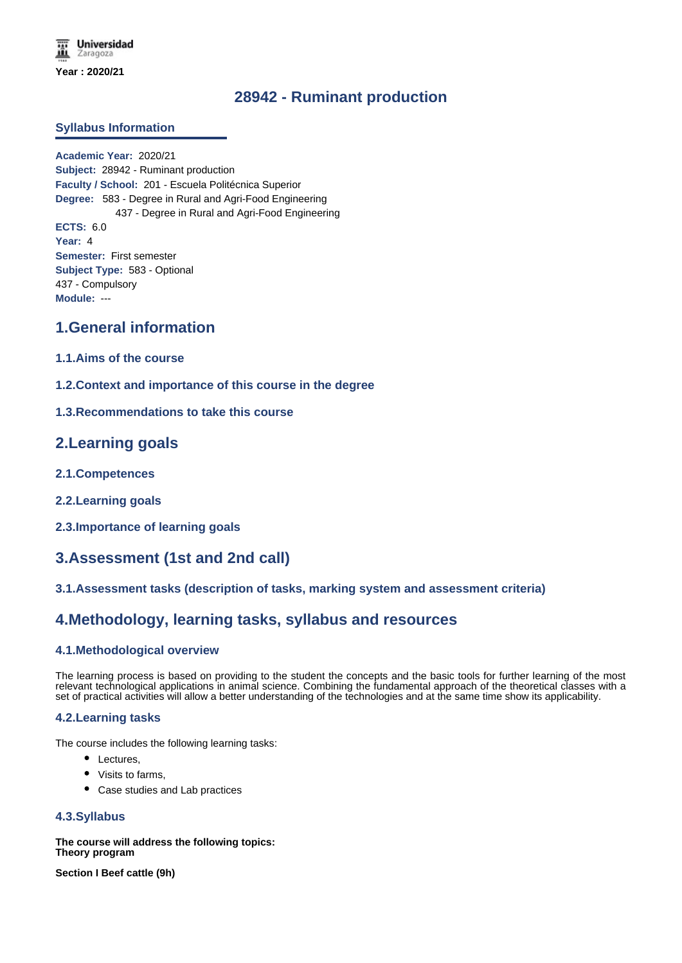# **28942 - Ruminant production**

## **Syllabus Information**

**Academic Year:** 2020/21 **Subject:** 28942 - Ruminant production **Faculty / School:** 201 - Escuela Politécnica Superior **Degree:** 583 - Degree in Rural and Agri-Food Engineering 437 - Degree in Rural and Agri-Food Engineering **ECTS:** 6.0 **Year:** 4 **Semester:** First semester **Subject Type:** 583 - Optional 437 - Compulsory **Module:** ---

# **1.General information**

- **1.1.Aims of the course**
- **1.2.Context and importance of this course in the degree**
- **1.3.Recommendations to take this course**

## **2.Learning goals**

- **2.1.Competences**
- **2.2.Learning goals**
- **2.3.Importance of learning goals**

# **3.Assessment (1st and 2nd call)**

#### **3.1.Assessment tasks (description of tasks, marking system and assessment criteria)**

## **4.Methodology, learning tasks, syllabus and resources**

#### **4.1.Methodological overview**

The learning process is based on providing to the student the concepts and the basic tools for further learning of the most relevant technological applications in animal science. Combining the fundamental approach of the theoretical classes with a set of practical activities will allow a better understanding of the technologies and at the same time show its applicability.

#### **4.2.Learning tasks**

The course includes the following learning tasks:

- Lectures,
- Visits to farms,
- Case studies and Lab practices

#### **4.3.Syllabus**

**The course will address the following topics: Theory program**

**Section I Beef cattle (9h)**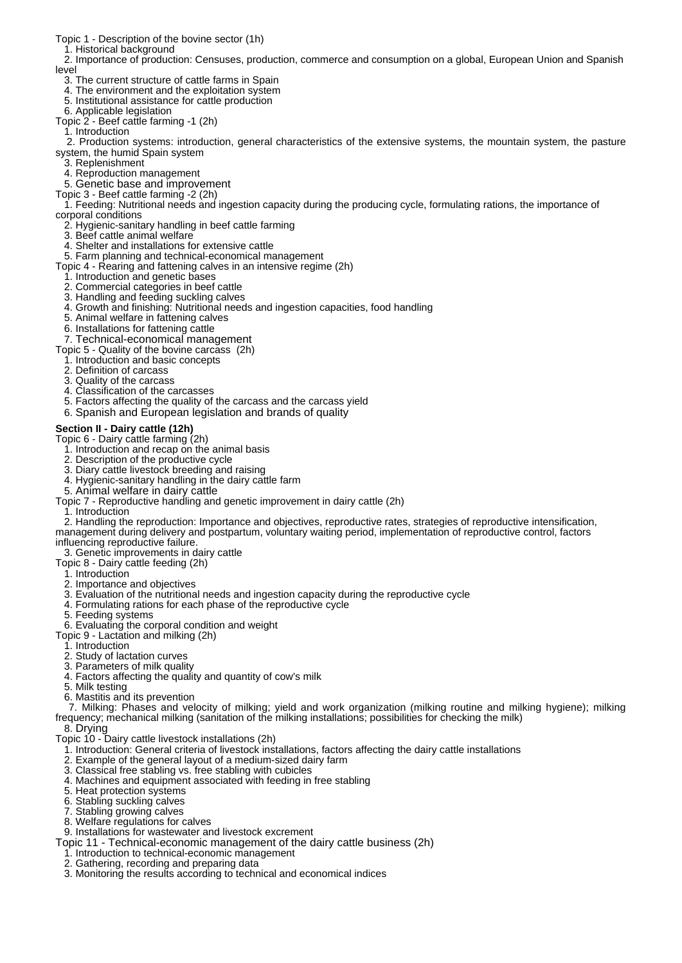Topic 1 - Description of the bovine sector (1h)

1. Historical background

 2. Importance of production: Censuses, production, commerce and consumption on a global, European Union and Spanish level

- 3. The current structure of cattle farms in Spain
- 4. The environment and the exploitation system
- 5. Institutional assistance for cattle production
- 6. Applicable legislation
- Topic 2 Beef cattle farming -1 (2h)
- 1. Introduction

 2. Production systems: introduction, general characteristics of the extensive systems, the mountain system, the pasture system, the humid Spain system

- 3. Replenishment
- 4. Reproduction management
- 5. Genetic base and improvement
- Topic 3 Beef cattle farming -2 (2h)

 1. Feeding: Nutritional needs and ingestion capacity during the producing cycle, formulating rations, the importance of corporal conditions

- 2. Hygienic-sanitary handling in beef cattle farming
- 3. Beef cattle animal welfare
- 4. Shelter and installations for extensive cattle
- 5. Farm planning and technical-economical management

Topic 4 - Rearing and fattening calves in an intensive regime (2h)

- 1. Introduction and genetic bases
- 2. Commercial categories in beef cattle
- 3. Handling and feeding suckling calves
- 4. Growth and finishing: Nutritional needs and ingestion capacities, food handling
- 5. Animal welfare in fattening calves
- 6. Installations for fattening cattle

7. Technical-economical management

- Topic 5 Quality of the bovine carcass (2h)
- 1. Introduction and basic concepts
- 2. Definition of carcass
- 3. Quality of the carcass
- 4. Classification of the carcasses
- 5. Factors affecting the quality of the carcass and the carcass yield
- 6. Spanish and European legislation and brands of quality

#### **Section II - Dairy cattle (12h)**

Topic 6 - Dairy cattle farming (2h)

- 1. Introduction and recap on the animal basis
- 2. Description of the productive cycle
- 3. Diary cattle livestock breeding and raising
- 4. Hygienic-sanitary handling in the dairy cattle farm
- 5. Animal welfare in dairy cattle
- Topic 7 Reproductive handling and genetic improvement in dairy cattle (2h)
- 1. Introduction

 2. Handling the reproduction: Importance and objectives, reproductive rates, strategies of reproductive intensification, management during delivery and postpartum, voluntary waiting period, implementation of reproductive control, factors

- influencing reproductive failure.
- 3. Genetic improvements in dairy cattle
- Topic 8 Dairy cattle feeding (2h)
- 1. Introduction
- 2. Importance and objectives
- 3. Evaluation of the nutritional needs and ingestion capacity during the reproductive cycle
- 4. Formulating rations for each phase of the reproductive cycle
- 5. Feeding systems
- 6. Evaluating the corporal condition and weight
- Topic 9 Lactation and milking (2h)
	- 1. Introduction
	- 2. Study of lactation curves
	- 3. Parameters of milk quality
- 4. Factors affecting the quality and quantity of cow's milk
- 5. Milk testing
- 6. Mastitis and its prevention

 7. Milking: Phases and velocity of milking; yield and work organization (milking routine and milking hygiene); milking frequency; mechanical milking (sanitation of the milking installations; possibilities for checking the milk)

- 8. Drying
- Topic 10 Dairy cattle livestock installations (2h)
- 1. Introduction: General criteria of livestock installations, factors affecting the dairy cattle installations
- 2. Example of the general layout of a medium-sized dairy farm
- 3. Classical free stabling vs. free stabling with cubicles
- 4. Machines and equipment associated with feeding in free stabling
- 5. Heat protection systems
- 6. Stabling suckling calves
- 7. Stabling growing calves
- 8. Welfare regulations for calves
- 9. Installations for wastewater and livestock excrement
- Topic 11 Technical-economic management of the dairy cattle business (2h)
- 1. Introduction to technical-economic management
- 2. Gathering, recording and preparing data
- 3. Monitoring the results according to technical and economical indices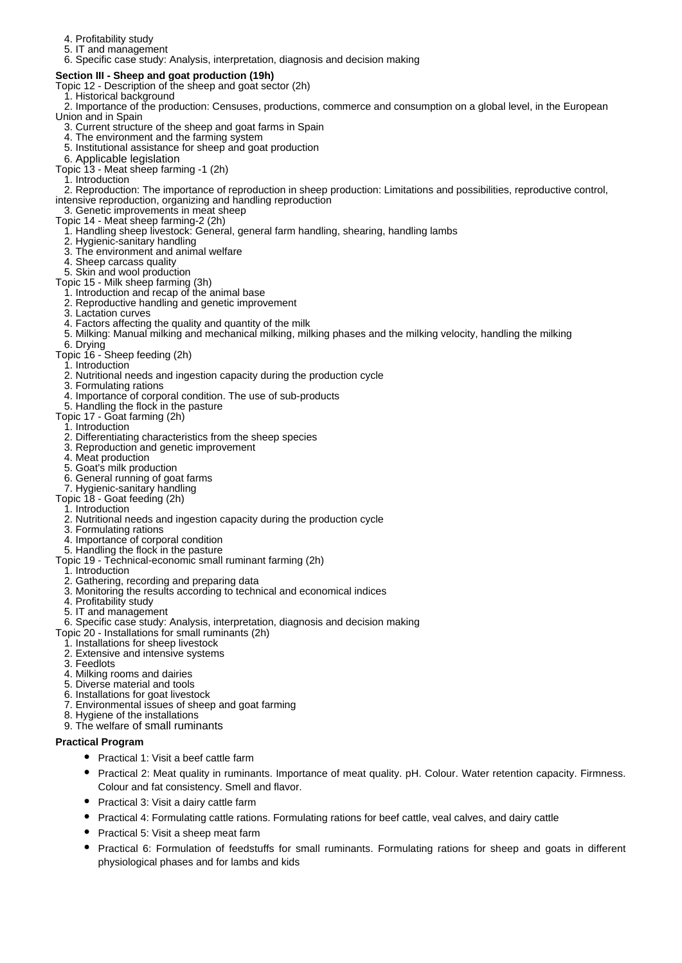- 4. Profitability study
- 5. IT and management
- 6. Specific case study: Analysis, interpretation, diagnosis and decision making

#### **Section III - Sheep and goat production (19h)**

- Topic 12 Description of the sheep and goat sector (2h)
- 1. Historical background
- 2. Importance of the production: Censuses, productions, commerce and consumption on a global level, in the European Union and in Spain
	- 3. Current structure of the sheep and goat farms in Spain
	- 4. The environment and the farming system
	- 5. Institutional assistance for sheep and goat production
- 6. Applicable legislation
- Topic 13 Meat sheep farming -1 (2h)
	- 1. Introduction

 2. Reproduction: The importance of reproduction in sheep production: Limitations and possibilities, reproductive control, intensive reproduction, organizing and handling reproduction

- 3. Genetic improvements in meat sheep Topic 14 - Meat sheep farming-2 (2h)
	- 1. Handling sheep livestock: General, general farm handling, shearing, handling lambs
	- 2. Hygienic-sanitary handling
	- 3. The environment and animal welfare
	- 4. Sheep carcass quality
	- 5. Skin and wool production
- Topic 15 Milk sheep farming (3h)
- 1. Introduction and recap of the animal base
	- 2. Reproductive handling and genetic improvement
- 3. Lactation curves
- 4. Factors affecting the quality and quantity of the milk
- 5. Milking: Manual milking and mechanical milking, milking phases and the milking velocity, handling the milking
- 6. Drying
- Topic 16 Sheep feeding (2h)
	- 1. Introduction
	- 2. Nutritional needs and ingestion capacity during the production cycle
	- 3. Formulating rations
	- 4. Importance of corporal condition. The use of sub-products
- 5. Handling the flock in the pasture
- Topic 17 Goat farming (2h)
	- 1. Introduction
	- 2. Differentiating characteristics from the sheep species
	- 3. Reproduction and genetic improvement
	- 4. Meat production
	- 5. Goat's milk production
	- 6. General running of goat farms
- 7. Hygienic-sanitary handling
- Topic 18 Goat feeding (2h)
- 1. Introduction
- 2. Nutritional needs and ingestion capacity during the production cycle
- 3. Formulating rations
- 4. Importance of corporal condition
- 5. Handling the flock in the pasture
- Topic 19 Technical-economic small ruminant farming (2h)
- 1. Introduction
- 2. Gathering, recording and preparing data
- 3. Monitoring the results according to technical and economical indices
- 4. Profitability study
- 5. IT and management
- 6. Specific case study: Analysis, interpretation, diagnosis and decision making
- Topic 20 Installations for small ruminants (2h)
	- 1. Installations for sheep livestock
	- 2. Extensive and intensive systems
	- 3. Feedlots
	- 4. Milking rooms and dairies
	- 5. Diverse material and tools
	- 6. Installations for goat livestock
	- 7. Environmental issues of sheep and goat farming
	- 8. Hygiene of the installations
	- 9. The welfare of small ruminants

#### **Practical Program**

- Practical 1: Visit a beef cattle farm
- Practical 2: Meat quality in ruminants. Importance of meat quality. pH. Colour. Water retention capacity. Firmness. Colour and fat consistency. Smell and flavor.
- Practical 3: Visit a dairy cattle farm
- Practical 4: Formulating cattle rations. Formulating rations for beef cattle, veal calves, and dairy cattle
- Practical 5: Visit a sheep meat farm
- Practical 6: Formulation of feedstuffs for small ruminants. Formulating rations for sheep and goats in different physiological phases and for lambs and kids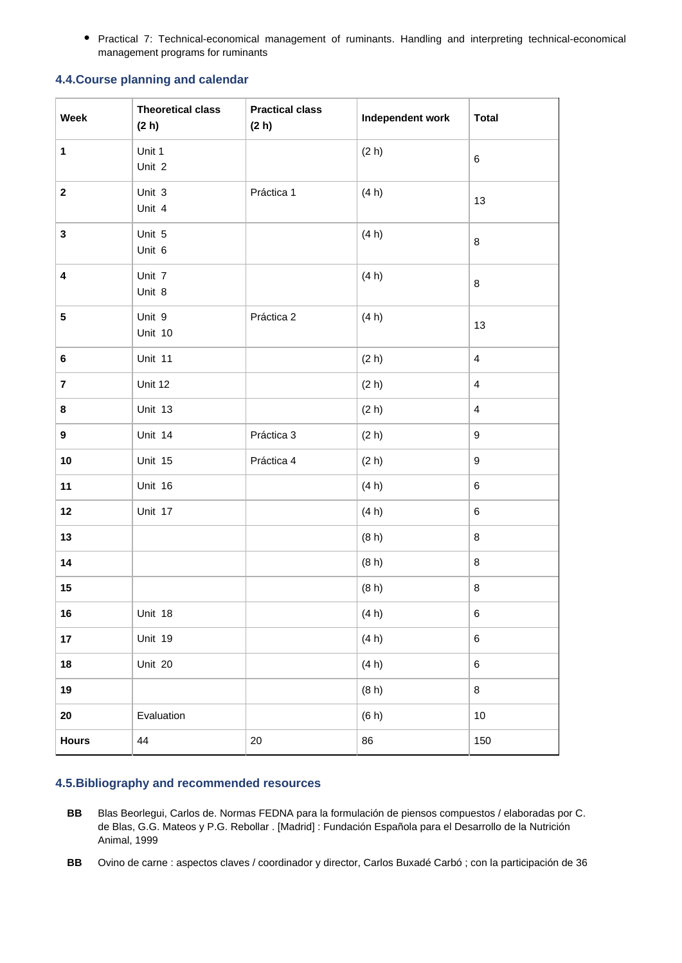Practical 7: Technical-economical management of ruminants. Handling and interpreting technical-economical management programs for ruminants

## **4.4.Course planning and calendar**

| Week                    | <b>Theoretical class</b><br>(2 h) | <b>Practical class</b><br>(2 h) | Independent work | <b>Total</b>     |
|-------------------------|-----------------------------------|---------------------------------|------------------|------------------|
| 1                       | Unit 1<br>Unit 2                  |                                 | (2 h)            | $\,6\,$          |
| $\mathbf 2$             | Unit 3<br>Unit 4                  | Práctica 1                      | (4 h)            | 13               |
| ${\bf 3}$               | Unit 5<br>Unit 6                  |                                 | (4 h)            | $\bf 8$          |
| 4                       | Unit 7<br>Unit 8                  |                                 | (4 h)            | $\bf 8$          |
| ${\bf 5}$               | Unit 9<br>Unit 10                 | Práctica 2                      | (4 h)            | 13               |
| 6                       | Unit 11                           |                                 | (2 h)            | $\overline{4}$   |
| $\overline{\mathbf{r}}$ | Unit 12                           |                                 | (2 h)            | $\overline{4}$   |
| 8                       | Unit 13                           |                                 | (2 h)            | $\overline{4}$   |
| $\boldsymbol{9}$        | Unit 14                           | Práctica 3                      | (2 h)            | 9                |
| $10\,$                  | Unit 15                           | Práctica 4                      | (2 h)            | $\boldsymbol{9}$ |
| 11                      | Unit 16                           |                                 | (4 h)            | 6                |
| 12                      | Unit 17                           |                                 | (4 h)            | 6                |
| 13                      |                                   |                                 | (8 h)            | $\bf 8$          |
| 14                      |                                   |                                 | (8 h)            | $\bf 8$          |
| 15                      |                                   |                                 | (8 h)            | 8                |
| 16                      | Unit 18                           |                                 | (4 h)            | $\,6$            |
| 17                      | Unit 19                           |                                 | (4 h)            | 6                |
| 18                      | Unit 20                           |                                 | (4 h)            | $\,6$            |
| 19                      |                                   |                                 | (8 h)            | 8                |
| $20\,$                  | Evaluation                        |                                 | (6 h)            | 10               |
| <b>Hours</b>            | 44                                | $20\,$                          | 86               | 150              |

### **4.5.Bibliography and recommended resources**

- **BB** Blas Beorlegui, Carlos de. Normas FEDNA para la formulación de piensos compuestos / elaboradas por C. de Blas, G.G. Mateos y P.G. Rebollar . [Madrid] : Fundación Española para el Desarrollo de la Nutrición Animal, 1999
- **BB** Ovino de carne : aspectos claves / coordinador y director, Carlos Buxadé Carbó ; con la participación de 36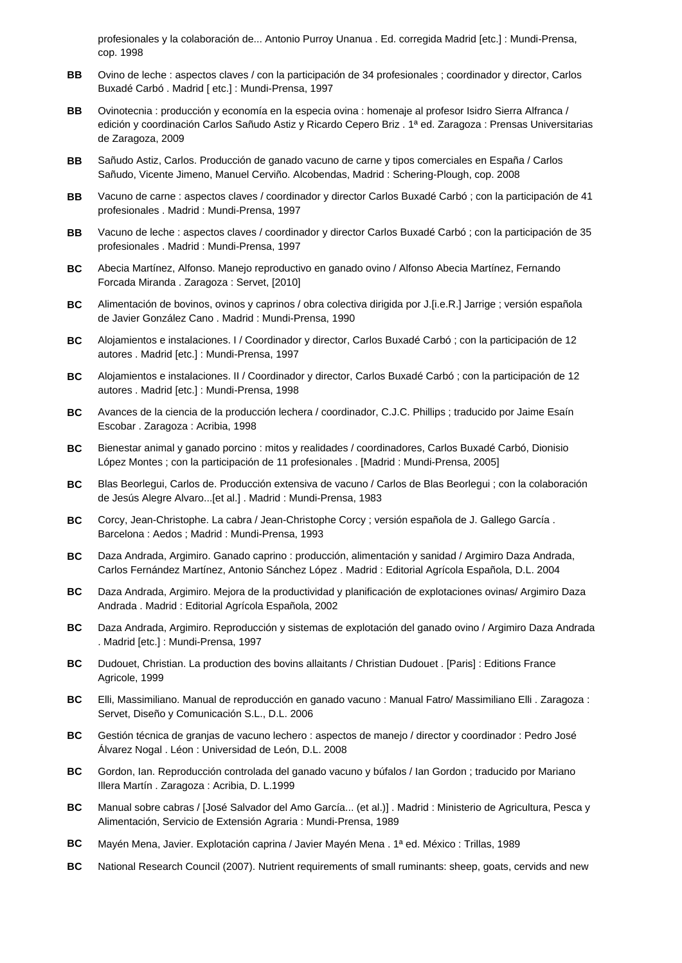profesionales y la colaboración de... Antonio Purroy Unanua . Ed. corregida Madrid [etc.] : Mundi-Prensa, cop. 1998

- **BB** Ovino de leche : aspectos claves / con la participación de 34 profesionales ; coordinador y director, Carlos Buxadé Carbó . Madrid [ etc.] : Mundi-Prensa, 1997
- **BB** Ovinotecnia : producción y economía en la especia ovina : homenaje al profesor Isidro Sierra Alfranca / edición y coordinación Carlos Sañudo Astiz y Ricardo Cepero Briz . 1ª ed. Zaragoza : Prensas Universitarias de Zaragoza, 2009
- **BB** Sañudo Astiz, Carlos. Producción de ganado vacuno de carne y tipos comerciales en España / Carlos Sañudo, Vicente Jimeno, Manuel Cerviño. Alcobendas, Madrid : Schering-Plough, cop. 2008
- **BB** Vacuno de carne : aspectos claves / coordinador y director Carlos Buxadé Carbó ; con la participación de 41 profesionales . Madrid : Mundi-Prensa, 1997
- **BB** Vacuno de leche : aspectos claves / coordinador y director Carlos Buxadé Carbó ; con la participación de 35 profesionales . Madrid : Mundi-Prensa, 1997
- **BC** Abecia Martínez, Alfonso. Manejo reproductivo en ganado ovino / Alfonso Abecia Martínez, Fernando Forcada Miranda . Zaragoza : Servet, [2010]
- **BC** Alimentación de bovinos, ovinos y caprinos / obra colectiva dirigida por J.[i.e.R.] Jarrige ; versión española de Javier González Cano . Madrid : Mundi-Prensa, 1990
- **BC** Alojamientos e instalaciones. I / Coordinador y director, Carlos Buxadé Carbó ; con la participación de 12 autores . Madrid [etc.] : Mundi-Prensa, 1997
- **BC** Alojamientos e instalaciones. II / Coordinador y director, Carlos Buxadé Carbó ; con la participación de 12 autores . Madrid [etc.] : Mundi-Prensa, 1998
- **BC** Avances de la ciencia de la producción lechera / coordinador, C.J.C. Phillips ; traducido por Jaime Esaín Escobar . Zaragoza : Acribia, 1998
- **BC** Bienestar animal y ganado porcino : mitos y realidades / coordinadores, Carlos Buxadé Carbó, Dionisio López Montes ; con la participación de 11 profesionales . [Madrid : Mundi-Prensa, 2005]
- **BC** Blas Beorlegui, Carlos de. Producción extensiva de vacuno / Carlos de Blas Beorlegui ; con la colaboración de Jesús Alegre Alvaro...[et al.] . Madrid : Mundi-Prensa, 1983
- **BC** Corcy, Jean-Christophe. La cabra / Jean-Christophe Corcy ; versión española de J. Gallego García . Barcelona : Aedos ; Madrid : Mundi-Prensa, 1993
- **BC** Daza Andrada, Argimiro. Ganado caprino : producción, alimentación y sanidad / Argimiro Daza Andrada, Carlos Fernández Martínez, Antonio Sánchez López . Madrid : Editorial Agrícola Española, D.L. 2004
- **BC** Daza Andrada, Argimiro. Mejora de la productividad y planificación de explotaciones ovinas/ Argimiro Daza Andrada . Madrid : Editorial Agrícola Española, 2002
- **BC** Daza Andrada, Argimiro. Reproducción y sistemas de explotación del ganado ovino / Argimiro Daza Andrada . Madrid [etc.] : Mundi-Prensa, 1997
- **BC** Dudouet, Christian. La production des bovins allaitants / Christian Dudouet . [Paris] : Editions France Agricole, 1999
- **BC** Elli, Massimiliano. Manual de reproducción en ganado vacuno : Manual Fatro/ Massimiliano Elli . Zaragoza : Servet, Diseño y Comunicación S.L., D.L. 2006
- **BC** Gestión técnica de granjas de vacuno lechero : aspectos de manejo / director y coordinador : Pedro José Álvarez Nogal . Léon : Universidad de León, D.L. 2008
- **BC** Gordon, Ian. Reproducción controlada del ganado vacuno y búfalos / Ian Gordon ; traducido por Mariano Illera Martín . Zaragoza : Acribia, D. L.1999
- **BC** Manual sobre cabras / [José Salvador del Amo García... (et al.)] . Madrid : Ministerio de Agricultura, Pesca y Alimentación, Servicio de Extensión Agraria : Mundi-Prensa, 1989
- **BC** Mayén Mena, Javier. Explotación caprina / Javier Mayén Mena . 1ª ed. México : Trillas, 1989
- **BC** National Research Council (2007). Nutrient requirements of small ruminants: sheep, goats, cervids and new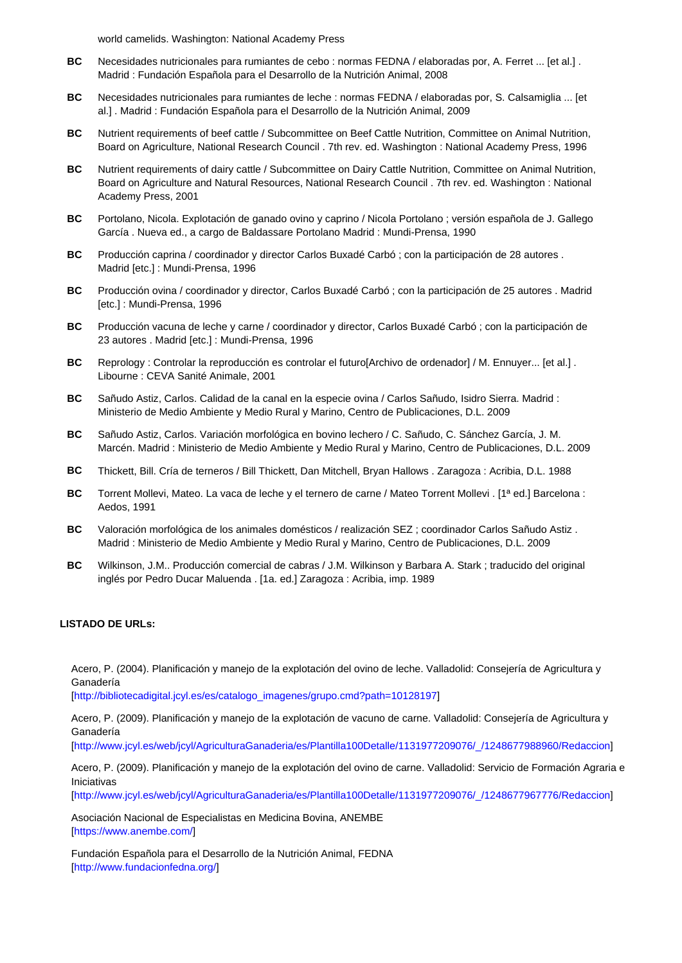world camelids. Washington: National Academy Press

- **BC** Necesidades nutricionales para rumiantes de cebo : normas FEDNA / elaboradas por, A. Ferret ... [et al.] . Madrid : Fundación Española para el Desarrollo de la Nutrición Animal, 2008
- **BC** Necesidades nutricionales para rumiantes de leche : normas FEDNA / elaboradas por, S. Calsamiglia ... [et al.] . Madrid : Fundación Española para el Desarrollo de la Nutrición Animal, 2009
- **BC** Nutrient requirements of beef cattle / Subcommittee on Beef Cattle Nutrition, Committee on Animal Nutrition, Board on Agriculture, National Research Council . 7th rev. ed. Washington : National Academy Press, 1996
- **BC** Nutrient requirements of dairy cattle / Subcommittee on Dairy Cattle Nutrition, Committee on Animal Nutrition, Board on Agriculture and Natural Resources, National Research Council . 7th rev. ed. Washington : National Academy Press, 2001
- **BC** Portolano, Nicola. Explotación de ganado ovino y caprino / Nicola Portolano ; versión española de J. Gallego García . Nueva ed., a cargo de Baldassare Portolano Madrid : Mundi-Prensa, 1990
- **BC** Producción caprina / coordinador y director Carlos Buxadé Carbó ; con la participación de 28 autores . Madrid [etc.] : Mundi-Prensa, 1996
- **BC** Producción ovina / coordinador y director, Carlos Buxadé Carbó ; con la participación de 25 autores . Madrid [etc.] : Mundi-Prensa, 1996
- **BC** Producción vacuna de leche y carne / coordinador y director, Carlos Buxadé Carbó ; con la participación de 23 autores . Madrid [etc.] : Mundi-Prensa, 1996
- **BC** Reprology : Controlar la reproducción es controlar el futuro[Archivo de ordenador] / M. Ennuyer... [et al.] . Libourne : CEVA Sanité Animale, 2001
- **BC** Sañudo Astiz, Carlos. Calidad de la canal en la especie ovina / Carlos Sañudo, Isidro Sierra. Madrid : Ministerio de Medio Ambiente y Medio Rural y Marino, Centro de Publicaciones, D.L. 2009
- **BC** Sañudo Astiz, Carlos. Variación morfológica en bovino lechero / C. Sañudo, C. Sánchez García, J. M. Marcén. Madrid : Ministerio de Medio Ambiente y Medio Rural y Marino, Centro de Publicaciones, D.L. 2009
- **BC** Thickett, Bill. Cría de terneros / Bill Thickett, Dan Mitchell, Bryan Hallows . Zaragoza : Acribia, D.L. 1988
- **BC** Torrent Mollevi, Mateo. La vaca de leche y el ternero de carne / Mateo Torrent Mollevi . [1ª ed.] Barcelona : Aedos, 1991
- **BC** Valoración morfológica de los animales domésticos / realización SEZ ; coordinador Carlos Sañudo Astiz . Madrid : Ministerio de Medio Ambiente y Medio Rural y Marino, Centro de Publicaciones, D.L. 2009
- **BC** Wilkinson, J.M.. Producción comercial de cabras / J.M. Wilkinson y Barbara A. Stark ; traducido del original inglés por Pedro Ducar Maluenda . [1a. ed.] Zaragoza : Acribia, imp. 1989

#### **LISTADO DE URLs:**

Acero, P. (2004). Planificación y manejo de la explotación del ovino de leche. Valladolid: Consejería de Agricultura y Ganadería

[http://bibliotecadigital.jcyl.es/es/catalogo\_imagenes/grupo.cmd?path=10128197]

Acero, P. (2009). Planificación y manejo de la explotación de vacuno de carne. Valladolid: Consejería de Agricultura y Ganadería

[http://www.jcyl.es/web/jcyl/AgriculturaGanaderia/es/Plantilla100Detalle/1131977209076/\_/1248677988960/Redaccion]

Acero, P. (2009). Planificación y manejo de la explotación del ovino de carne. Valladolid: Servicio de Formación Agraria e Iniciativas

[http://www.jcyl.es/web/jcyl/AgriculturaGanaderia/es/Plantilla100Detalle/1131977209076/\_/1248677967776/Redaccion]

Asociación Nacional de Especialistas en Medicina Bovina, ANEMBE [https://www.anembe.com/]

Fundación Española para el Desarrollo de la Nutrición Animal, FEDNA [http://www.fundacionfedna.org/]